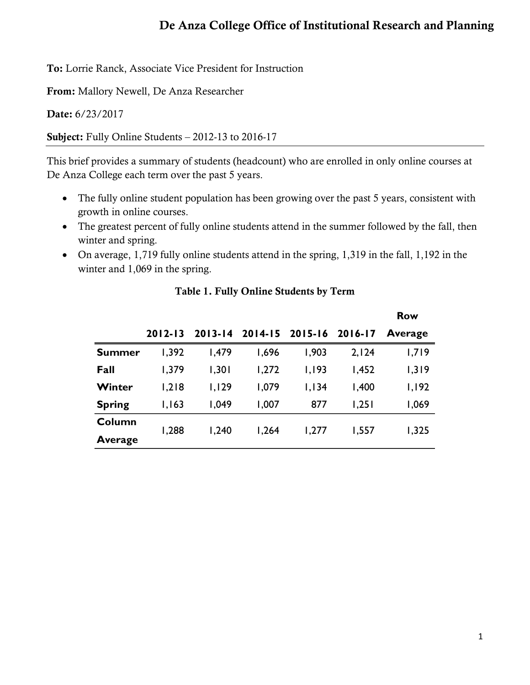## De Anza College Office of Institutional Research and Planning

To: Lorrie Ranck, Associate Vice President for Instruction

From: Mallory Newell, De Anza Researcher

Date: 6/23/2017

Subject: Fully Online Students – 2012-13 to 2016-17

This brief provides a summary of students (headcount) who are enrolled in only online courses at De Anza College each term over the past 5 years.

- The fully online student population has been growing over the past 5 years, consistent with growth in online courses.
- The greatest percent of fully online students attend in the summer followed by the fall, then winter and spring.
- On average, 1,719 fully online students attend in the spring, 1,319 in the fall, 1,192 in the winter and 1,069 in the spring.

|               |             |             |       |                 |         | <b>Row</b> |
|---------------|-------------|-------------|-------|-----------------|---------|------------|
|               | $2012 - 13$ | $2013 - 14$ |       | 2014-15 2015-16 | 2016-17 | Average    |
| <b>Summer</b> | 1,392       | 1,479       | 1,696 | 1,903           | 2,124   | 1,719      |
| Fall          | 1,379       | 1,301       | 1,272 | 1,193           | 1,452   | 1,319      |
| Winter        | 1,218       | 1,129       | 1,079 | 1,134           | 1,400   | 1,192      |
| <b>Spring</b> | 1,163       | 1,049       | 1,007 | 877             | 1,251   | 1,069      |
| Column        | 1,288       | 1,240       | 1,264 | 1,277           | 1,557   | 1,325      |
| Average       |             |             |       |                 |         |            |

## Table 1. Fully Online Students by Term